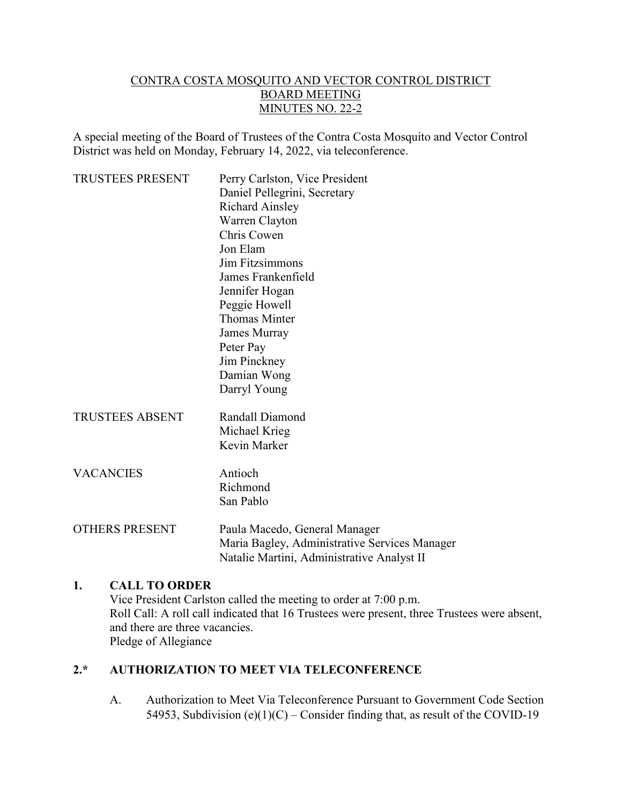### CONTRA COSTA MOSQUITO AND VECTOR CONTROL DISTRICT BOARD MEETING MINUTES NO. 22-2

A special meeting of the Board of Trustees of the Contra Costa Mosquito and Vector Control District was held on Monday, February 14, 2022, via teleconference.

| <b>TRUSTEES PRESENT</b> | Perry Carlston, Vice President                |
|-------------------------|-----------------------------------------------|
|                         | Daniel Pellegrini, Secretary                  |
|                         | <b>Richard Ainsley</b>                        |
|                         | Warren Clayton                                |
|                         | Chris Cowen                                   |
|                         | Jon Elam                                      |
|                         | Jim Fitzsimmons                               |
|                         | James Frankenfield                            |
|                         | Jennifer Hogan                                |
|                         | Peggie Howell                                 |
|                         | <b>Thomas Minter</b>                          |
|                         | James Murray                                  |
|                         | Peter Pay                                     |
|                         | Jim Pinckney                                  |
|                         | Damian Wong                                   |
|                         | Darryl Young                                  |
| <b>TRUSTEES ABSENT</b>  | Randall Diamond                               |
|                         | Michael Krieg                                 |
|                         | Kevin Marker                                  |
| <b>VACANCIES</b>        | Antioch                                       |
|                         | Richmond                                      |
|                         | San Pablo                                     |
| <b>OTHERS PRESENT</b>   | Paula Macedo, General Manager                 |
|                         | Maria Bagley, Administrative Services Manager |
|                         | Natalie Martini, Administrative Analyst II    |
|                         |                                               |

#### **1. CALL TO ORDER**

Vice President Carlston called the meeting to order at 7:00 p.m. Roll Call: A roll call indicated that 16 Trustees were present, three Trustees were absent, and there are three vacancies. Pledge of Allegiance

## **2.\* AUTHORIZATION TO MEET VIA TELECONFERENCE**

A. Authorization to Meet Via Teleconference Pursuant to Government Code Section 54953, Subdivision (e)(1)(C) – Consider finding that, as result of the COVID-19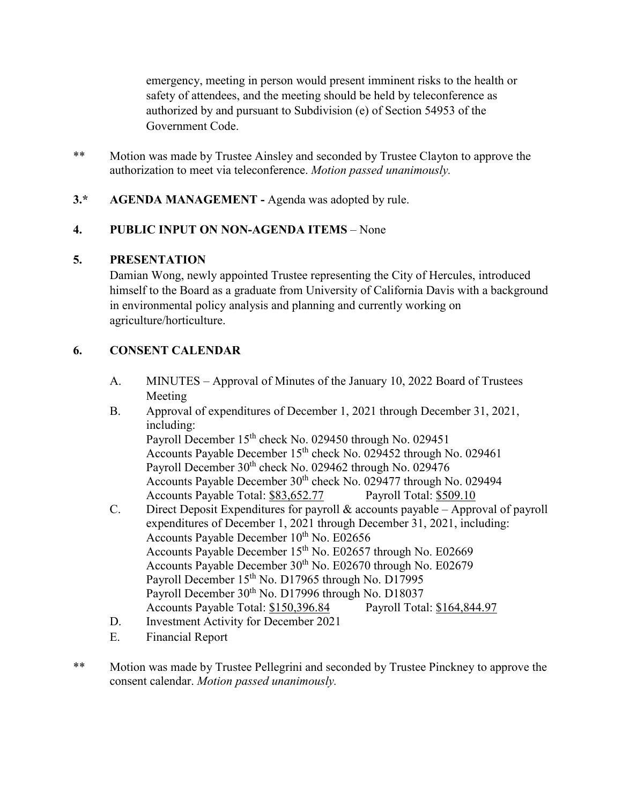emergency, meeting in person would present imminent risks to the health or safety of attendees, and the meeting should be held by teleconference as authorized by and pursuant to Subdivision (e) of Section 54953 of the Government Code.

- \*\* Motion was made by Trustee Ainsley and seconded by Trustee Clayton to approve the authorization to meet via teleconference. *Motion passed unanimously.*
- **3.\* AGENDA MANAGEMENT -** Agenda was adopted by rule.

## **4. PUBLIC INPUT ON NON-AGENDA ITEMS** – None

### **5. PRESENTATION**

Damian Wong, newly appointed Trustee representing the City of Hercules, introduced himself to the Board as a graduate from University of California Davis with a background in environmental policy analysis and planning and currently working on agriculture/horticulture.

## **6. CONSENT CALENDAR**

- A. MINUTES Approval of Minutes of the January 10, 2022 Board of Trustees Meeting
- B. Approval of expenditures of December 1, 2021 through December 31, 2021, including: Payroll December 15<sup>th</sup> check No. 029450 through No. 029451 Accounts Payable December 15th check No. 029452 through No. 029461 Payroll December 30<sup>th</sup> check No. 029462 through No. 029476 Accounts Payable December 30<sup>th</sup> check No. 029477 through No. 029494 Accounts Payable Total: \$83,652.77 Payroll Total: \$509.10
- C. Direct Deposit Expenditures for payroll & accounts payable Approval of payroll expenditures of December 1, 2021 through December 31, 2021, including: Accounts Payable December 10<sup>th</sup> No. E02656 Accounts Payable December 15th No. E02657 through No. E02669 Accounts Payable December  $30<sup>th</sup>$  No. E02670 through No. E02679 Payroll December 15<sup>th</sup> No. D17965 through No. D17995 Payroll December 30<sup>th</sup> No. D17996 through No. D18037 Accounts Payable Total: \$150,396.84 Payroll Total: \$164,844.97
- D. Investment Activity for December 2021
- E. Financial Report
- \*\* Motion was made by Trustee Pellegrini and seconded by Trustee Pinckney to approve the consent calendar. *Motion passed unanimously.*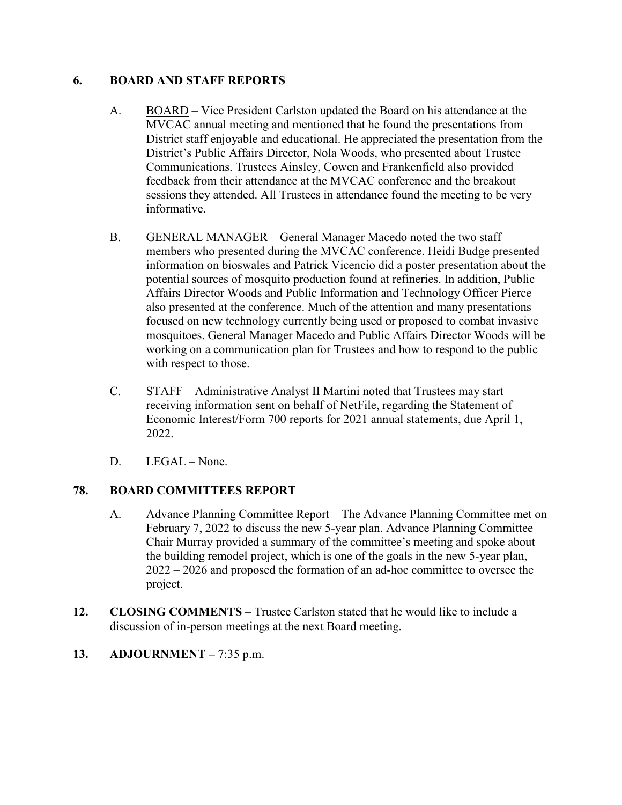### **6. BOARD AND STAFF REPORTS**

- A. BOARD Vice President Carlston updated the Board on his attendance at the MVCAC annual meeting and mentioned that he found the presentations from District staff enjoyable and educational. He appreciated the presentation from the District's Public Affairs Director, Nola Woods, who presented about Trustee Communications. Trustees Ainsley, Cowen and Frankenfield also provided feedback from their attendance at the MVCAC conference and the breakout sessions they attended. All Trustees in attendance found the meeting to be very informative.
- B. GENERAL MANAGER General Manager Macedo noted the two staff members who presented during the MVCAC conference. Heidi Budge presented information on bioswales and Patrick Vicencio did a poster presentation about the potential sources of mosquito production found at refineries. In addition, Public Affairs Director Woods and Public Information and Technology Officer Pierce also presented at the conference. Much of the attention and many presentations focused on new technology currently being used or proposed to combat invasive mosquitoes. General Manager Macedo and Public Affairs Director Woods will be working on a communication plan for Trustees and how to respond to the public with respect to those.
- C. STAFF Administrative Analyst II Martini noted that Trustees may start receiving information sent on behalf of NetFile, regarding the Statement of Economic Interest/Form 700 reports for 2021 annual statements, due April 1, 2022.
- D. LEGAL None.

# **78. BOARD COMMITTEES REPORT**

- A. Advance Planning Committee Report The Advance Planning Committee met on February 7, 2022 to discuss the new 5-year plan. Advance Planning Committee Chair Murray provided a summary of the committee's meeting and spoke about the building remodel project, which is one of the goals in the new 5-year plan, 2022 – 2026 and proposed the formation of an ad-hoc committee to oversee the project.
- **12. CLOSING COMMENTS** Trustee Carlston stated that he would like to include a discussion of in-person meetings at the next Board meeting.
- **13. ADJOURNMENT –** 7:35 p.m.